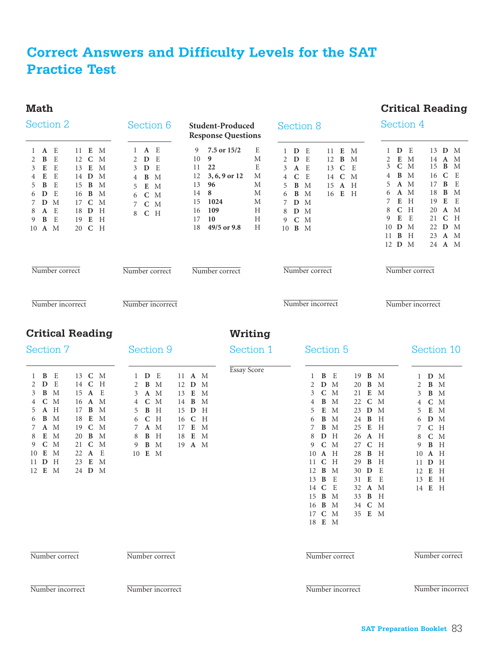# **Correct Answers and Difficulty Levels for the SAT Practice Test**

#### **Math**

#### **Critical Reading**

| Section 2                                                                                                                                                                                                                                                                                                                                                                          | Section 6<br><b>Student-Produced</b><br><b>Response Questions</b>                                                                                                                                                                                                                           |                                                                                                                                                                                                     | Section 8                                                                                                                                                                                                                                                                                                                                                                                                                                                                                                                                                                     | Section 4                                                                                                                                                                                                                                                                                                                                                                                                                           |  |
|------------------------------------------------------------------------------------------------------------------------------------------------------------------------------------------------------------------------------------------------------------------------------------------------------------------------------------------------------------------------------------|---------------------------------------------------------------------------------------------------------------------------------------------------------------------------------------------------------------------------------------------------------------------------------------------|-----------------------------------------------------------------------------------------------------------------------------------------------------------------------------------------------------|-------------------------------------------------------------------------------------------------------------------------------------------------------------------------------------------------------------------------------------------------------------------------------------------------------------------------------------------------------------------------------------------------------------------------------------------------------------------------------------------------------------------------------------------------------------------------------|-------------------------------------------------------------------------------------------------------------------------------------------------------------------------------------------------------------------------------------------------------------------------------------------------------------------------------------------------------------------------------------------------------------------------------------|--|
| 11 E<br>$\mathbf{M}$<br>$1 \tA \tE$<br>$\, {\bf B}$<br>E<br>12 C<br>M<br>2<br>E<br>E<br>3<br>13 E<br>M<br>${\bf E}$<br>E<br>14 D<br>M<br>4<br>$\, {\bf B}$<br>E<br>15 <b>B</b><br>M<br>5.<br>6<br>D<br>E<br>16 <b>B</b><br>M<br>D M<br>17 C<br>$\mathbf M$<br>7<br>E<br>18 D<br>A<br>H<br>8<br>$\, {\bf B}$<br>E<br>19 E<br>H<br>9<br>10 A M<br>20 C H                             | $1$ <b>A</b> E<br>$\mathbf D$<br>E<br>2<br>E<br>D<br>3<br>$\, {\bf B}$<br>M<br>4<br>E<br>$\mathbf{M}$<br>5<br>$C$ M<br>6<br>$C$ M<br>C H<br>8                                                                                                                                               | 7.5 or 15/2<br>E<br>9<br>9<br>М<br>10<br>E<br>22<br>11<br>3, 6, 9 or 12<br>12<br>М<br>96<br>13<br>М<br>8<br>14<br>М<br>1024<br>15<br>М<br>109<br>H<br>16<br>10<br>H<br>17<br>18<br>49/5 or 9.8<br>Н | E<br>E<br>$\mathbf{M}$<br>$1\quad D$<br>11<br>$\mathbf D$<br>E<br>$\, {\bf B}$<br>2<br>M<br>12<br>$\mathbf{A}$<br>E<br>$\mathbf C$<br>E<br>3<br>13<br>$\mathbf C$<br>E<br>$\overline{4}$<br>$\mathbf C$<br>M<br>14<br>B<br>M<br>$\mathbf A$<br>H<br>5<br>15<br>B<br>16 E<br>H<br>6<br>M<br>$\mathbf D$<br>M<br>7<br>M<br>8<br>D<br>$\mathbf C$<br>$\mathbf{M}$<br>9<br>10 <b>B</b> M                                                                                                                                                                                          | D E<br>13 D M<br>$\mathbf{1}$<br>E<br>2<br>$\mathbf M$<br>14<br>A<br>M<br>3<br>$C$ M<br>B<br>M<br>15<br>$\mathbf C$<br>B M<br>E<br>16<br>4<br>A M<br>B<br>E<br>5<br>17<br>$\, {\bf B}$<br>A M<br>18<br>M<br>6<br>E<br>H<br>E<br>E<br>7<br>19<br>$C$ H<br>8<br>A M<br>20<br>${\bf E}$<br>E<br>$\mathbf C$<br>21<br>Н<br>9<br>${\bf D}$<br>D M<br>22<br>M<br>10<br>$\bf{B}$<br>H<br>23<br>$\mathbf{A}$<br>M<br>11<br>12 D M<br>24 A M |  |
| Number correct                                                                                                                                                                                                                                                                                                                                                                     | Number correct                                                                                                                                                                                                                                                                              | Number correct                                                                                                                                                                                      | Number correct                                                                                                                                                                                                                                                                                                                                                                                                                                                                                                                                                                | Number correct                                                                                                                                                                                                                                                                                                                                                                                                                      |  |
| Number incorrect                                                                                                                                                                                                                                                                                                                                                                   | Number incorrect                                                                                                                                                                                                                                                                            |                                                                                                                                                                                                     | Number incorrect                                                                                                                                                                                                                                                                                                                                                                                                                                                                                                                                                              | Number incorrect                                                                                                                                                                                                                                                                                                                                                                                                                    |  |
| <b>Critical Reading</b>                                                                                                                                                                                                                                                                                                                                                            |                                                                                                                                                                                                                                                                                             | Writing                                                                                                                                                                                             |                                                                                                                                                                                                                                                                                                                                                                                                                                                                                                                                                                               |                                                                                                                                                                                                                                                                                                                                                                                                                                     |  |
| Section 7                                                                                                                                                                                                                                                                                                                                                                          | Section 9                                                                                                                                                                                                                                                                                   | Section 1                                                                                                                                                                                           | Section 5                                                                                                                                                                                                                                                                                                                                                                                                                                                                                                                                                                     | Section 10                                                                                                                                                                                                                                                                                                                                                                                                                          |  |
| $\bf{B}$<br>13 C M<br>E<br>$\mathbf{1}$<br>E<br>2<br>D<br>14 C<br>H<br>$\bf{B}$<br>E<br>M<br>15 A<br>3<br>$C$ M<br>16 A M<br>4<br>A H<br>17 <b>B</b><br>M<br>5<br>B<br>M<br>18 E<br>6<br>M<br>A M<br>19 C<br>M<br>7<br>E M<br>20 <b>B</b><br>M<br>8<br>$\mathbf C$<br>M<br>$\mathbf M$<br>9<br>21 C<br>E<br>10 E<br>M<br>22 A<br>$11\quad D$<br>H<br>23 E<br>M<br>12 E M<br>24 D M | $1\quad D$<br>E<br>11 <b>A</b> M<br>$\bf{B}$<br>$\mathbf{M}$<br>2<br>12 D<br>A M<br>13 E<br>3<br>$\mathbf C$<br>M<br>B<br>4<br>14<br>$\bf{B}$<br>H<br>15 D<br>5<br>H<br>16 C<br>$\mathbf C$<br>6<br>A M<br>E<br>7<br>17<br>B<br>H<br>E<br>8<br>18<br>$\bf{B}$<br>M<br>19 A M<br>9<br>10 E M | Essay Score<br>M<br>M<br>M<br>H<br>H<br>M<br>M                                                                                                                                                      | $\bf{B}$<br>E<br>19<br>B<br>$\mathbf{1}$<br>$D$ M<br>2<br>20<br>B<br>$\mathbf C$<br>M<br>3<br>$\bf{E}$<br>21<br>$\, {\bf B}$<br>$\mathbf C$<br>M<br>22<br>4<br>${\bf E}$<br>$\mathbf{M}$<br>23 D<br>5<br>$\, {\bf B}$<br>M<br>24 <b>B</b><br>6<br>$\bf{B}$<br>E<br>7<br>M<br>25<br>D H<br>A H<br>8<br>26<br>$C$ M<br>9<br>$\mathbf C$<br>27<br>10 A H<br>28<br>B<br>${\bf C}$<br>H<br>29<br>B<br>11<br>12 <b>B</b> M<br>D<br>30<br>13 <b>B</b><br>E<br>E<br>31<br>14 C E<br>32 A M<br>15 <b>B</b> M<br>33 <b>B</b> H<br>16 <b>B</b> M<br>34 C M<br>17 C M<br>35 E M<br>18 E M | M<br>D M<br>$\mathbf{1}$<br>B M<br>M<br>2<br>M<br>B M<br>3<br>M<br>$C$ M<br>4<br>$E$ M<br>$\mathbf M$<br>5<br>H<br>D M<br>6<br>H<br>$\mathbf C$<br>H<br>7<br>$C$ M<br>8<br>H<br>B H<br>9<br>H<br>A H<br>10<br>H<br>D H<br>11<br>E<br>E H<br>12<br>E<br>13 E<br>H<br>14 E H                                                                                                                                                          |  |
| Number correct                                                                                                                                                                                                                                                                                                                                                                     | Number correct                                                                                                                                                                                                                                                                              |                                                                                                                                                                                                     | Number correct                                                                                                                                                                                                                                                                                                                                                                                                                                                                                                                                                                | Number correct                                                                                                                                                                                                                                                                                                                                                                                                                      |  |
| Number incorrect                                                                                                                                                                                                                                                                                                                                                                   | Number incorrect                                                                                                                                                                                                                                                                            |                                                                                                                                                                                                     | Number incorrect                                                                                                                                                                                                                                                                                                                                                                                                                                                                                                                                                              | Number incorrect                                                                                                                                                                                                                                                                                                                                                                                                                    |  |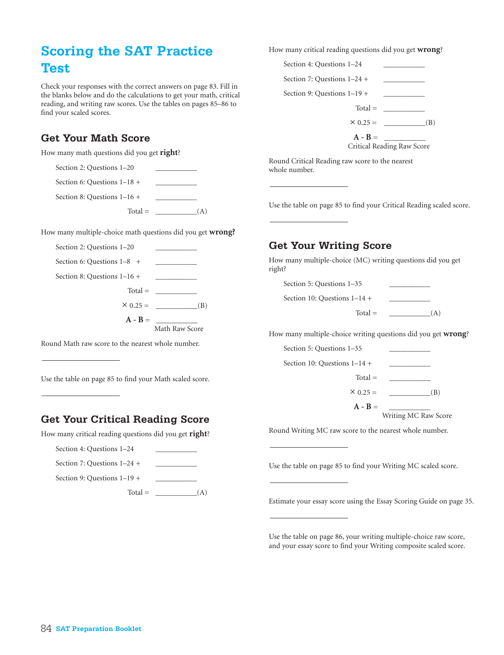# **Scoring the SAT Practice Test**

Check your responses with the correct answers on page 83. Fill in the blanks below and do the calculations to get your math, critical reading, and writing raw scores. Use the tables on pages 85–86 to find your scaled scores.

## **Get Your Math Score**

How many math questions did you get **right**?

| Section 2: Questions 1-20     |     |
|-------------------------------|-----|
| Section 6: Questions $1-18$ + |     |
| Section 8: Questions $1-16$ + |     |
| $Total =$                     | (A) |

How many multiple-choice math questions did you get **wrong?**



Round Math raw score to the nearest whole number.

Use the table on page 85 to find your Math scaled score.

# **Get Your Critical Reading Score**

How many critical reading questions did you get **right**?

| Section 4: Questions 1–24     |   |
|-------------------------------|---|
| Section 7: Questions $1-24$ + |   |
| Section 9: Questions $1-19$ + |   |
| $Total =$                     | Ά |

How many critical reading questions did you get **wrong**?

|                               | $A - B =$ | Critical Reading Raw Score |
|-------------------------------|-----------|----------------------------|
|                               |           | $\times 0.25 =$<br>(B)     |
|                               |           | $Total =$                  |
| Section 9: Questions $1-19$ + |           |                            |
| Section 7: Questions $1-24$ + |           |                            |
| Section 4: Questions 1-24     |           |                            |

Round Critical Reading raw score to the nearest whole number.

Use the table on page 85 to find your Critical Reading scaled score.

### **Get Your Writing Score**

How many multiple-choice (MC) writing questions did you get right?

| Section 5: Questions 1-35      |     |
|--------------------------------|-----|
| Section 10: Questions $1-14$ + |     |
| $Total =$                      | ( A |

How many multiple-choice writing questions did you get **wrong**?



Writing MC Raw Score

Round Writing MC raw score to the nearest whole number.

Use the table on page 85 to find your Writing MC scaled score.

Estimate your essay score using the Essay Scoring Guide on page 35.

Use the table on page 86, your writing multiple-choice raw score, and your essay score to find your Writing composite scaled score.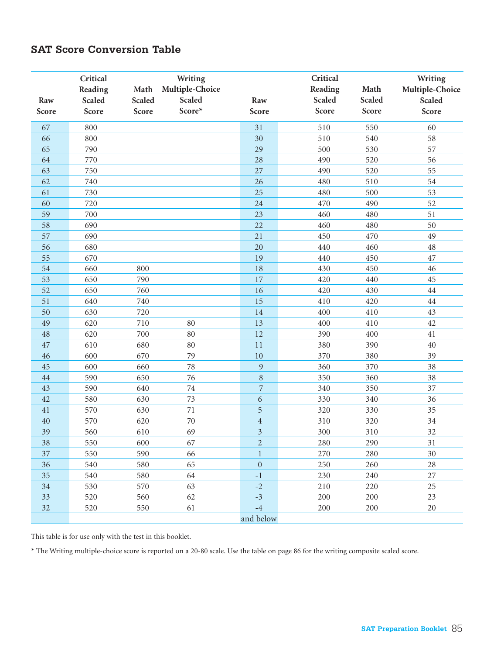#### **SAT Score Conversion Table**

| Raw<br>Score | Critical<br>Reading<br><b>Scaled</b><br>Score | Math<br><b>Scaled</b><br>Score | Writing<br>Multiple-Choice<br><b>Scaled</b><br>Score* | Raw<br>Score            | Critical<br>Reading<br><b>Scaled</b><br>Score | Math<br>Scaled<br>Score | Writing<br>Multiple-Choice<br><b>Scaled</b><br>Score |
|--------------|-----------------------------------------------|--------------------------------|-------------------------------------------------------|-------------------------|-----------------------------------------------|-------------------------|------------------------------------------------------|
| 67           | 800                                           |                                |                                                       | 31                      | 510                                           | 550                     | 60                                                   |
| 66           | 800                                           |                                |                                                       | 30                      | 510                                           | 540                     | 58                                                   |
| 65           | 790                                           |                                |                                                       | 29                      | 500                                           | 530                     | 57                                                   |
| 64           | 770                                           |                                |                                                       | 28                      | 490                                           | 520                     | 56                                                   |
| 63           | 750                                           |                                |                                                       | 27                      | 490                                           | 520                     | 55                                                   |
| 62           | 740                                           |                                |                                                       | 26                      | 480                                           | 510                     | 54                                                   |
| 61           | 730                                           |                                |                                                       | 25                      | 480                                           | 500                     | 53                                                   |
| 60           | 720                                           |                                |                                                       | 24                      | 470                                           | 490                     | 52                                                   |
| 59           | 700                                           |                                |                                                       | 23                      | 460                                           | 480                     | 51                                                   |
| 58           | 690                                           |                                |                                                       | 22                      | 460                                           | 480                     | 50                                                   |
| 57           | 690                                           |                                |                                                       | 21                      | 450                                           | 470                     | 49                                                   |
| 56           | 680                                           |                                |                                                       | 20                      | 440                                           | 460                     | $48\,$                                               |
| 55           | 670                                           |                                |                                                       | 19                      | 440                                           | 450                     | 47                                                   |
| 54           | 660                                           | 800                            |                                                       | 18                      | 430                                           | 450                     | 46                                                   |
| 53           | 650                                           | 790                            |                                                       | 17                      | 420                                           | 440                     | 45                                                   |
| 52           | 650                                           | 760                            |                                                       | 16                      | 420                                           | 430                     | $\rm 44$                                             |
| 51           | 640                                           | 740                            |                                                       | 15                      | 410                                           | 420                     | $\rm 44$                                             |
| 50           | 630                                           | 720                            |                                                       | 14                      | 400                                           | 410                     | 43                                                   |
| 49           | 620                                           | 710                            | 80                                                    | 13                      | 400                                           | 410                     | 42                                                   |
| 48           | 620                                           | 700                            | 80                                                    | 12                      | 390                                           | 400                     | 41                                                   |
| 47           | 610                                           | 680                            | 80                                                    | 11                      | 380                                           | 390                     | $40\,$                                               |
| 46           | 600                                           | 670                            | 79                                                    | 10                      | 370                                           | 380                     | 39                                                   |
| 45           | 600                                           | 660                            | 78                                                    | 9                       | 360                                           | 370                     | 38                                                   |
| 44           | 590                                           | 650                            | 76                                                    | $\,8\,$                 | 350                                           | 360                     | 38                                                   |
| 43           | 590                                           | 640                            | 74                                                    | $\overline{7}$          | 340                                           | 350                     | 37                                                   |
| 42           | 580                                           | 630                            | 73                                                    | $\sqrt{6}$              | 330                                           | 340                     | 36                                                   |
| 41           | 570                                           | 630                            | $7\sqrt{1}$                                           | $\sqrt{5}$              | 320                                           | 330                     | 35                                                   |
| 40           | 570                                           | 620                            | 70                                                    | $\sqrt{4}$              | 310                                           | 320                     | 34                                                   |
| 39           | 560                                           | 610                            | 69                                                    | $\overline{\mathbf{3}}$ | 300                                           | 310                     | 32                                                   |
| 38           | 550                                           | 600                            | 67                                                    | $\overline{2}$          | 280                                           | 290                     | 31                                                   |
| 37           | 550                                           | 590                            | 66                                                    | $\mathbf{1}$            | 270                                           | 280                     | 30                                                   |
| 36           | 540                                           | 580                            | 65                                                    | $\mathbf{0}$            | 250                                           | 260                     | $28\,$                                               |
| 35           | 540                                           | 580                            | 64                                                    | $^{\rm -1}$             | 230                                           | 240                     | 27                                                   |
| $34\,$       | 530                                           | 570                            | 63                                                    | $-2$                    | 210                                           | 220                     | 25                                                   |
| 33           | 520                                           | 560                            | 62                                                    | $-3$                    | 200                                           | 200                     | 23                                                   |
| 32           | 520                                           | 550                            | 61                                                    | $^{\rm -4}$             | 200                                           | 200                     | 20                                                   |
|              |                                               |                                |                                                       | and below               |                                               |                         |                                                      |

This table is for use only with the test in this booklet.

\* The Writing multiple-choice score is reported on a 20-80 scale. Use the table on page 86 for the writing composite scaled score.